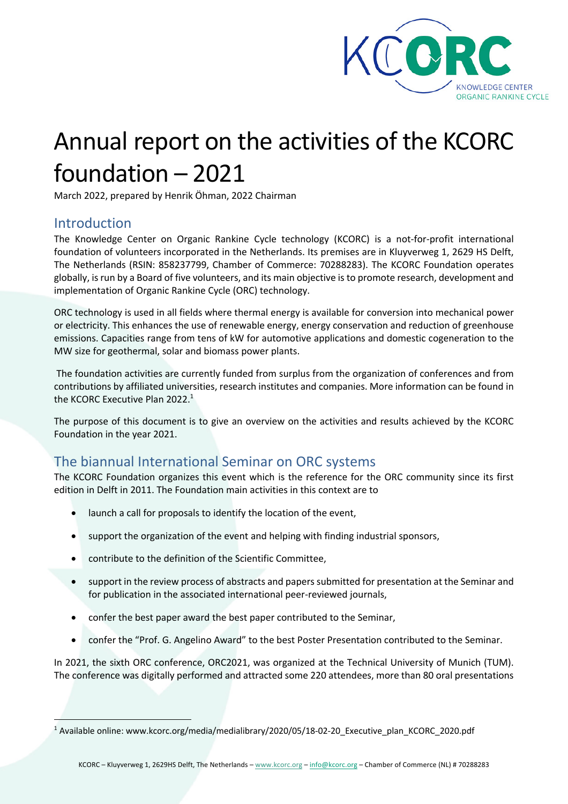

# Annual report on the activities of the KCORC foundation – 2021

March 2022, prepared by Henrik Öhman, 2022 Chairman

#### Introduction

The Knowledge Center on Organic Rankine Cycle technology (KCORC) is a not-for-profit international foundation of volunteers incorporated in the Netherlands. Its premises are in Kluyverweg 1, 2629 HS Delft, The Netherlands (RSIN: 858237799, Chamber of Commerce: 70288283). The KCORC Foundation operates globally, is run by a Board of five volunteers, and its main objective is to promote research, development and implementation of Organic Rankine Cycle (ORC) technology.

ORC technology is used in all fields where thermal energy is available for conversion into mechanical power or electricity. This enhances the use of renewable energy, energy conservation and reduction of greenhouse emissions. Capacities range from tens of kW for automotive applications and domestic cogeneration to the MW size for geothermal, solar and biomass power plants.

The foundation activities are currently funded from surplus from the organization of conferences and from contributions by affiliated universities, research institutes and companies. More information can be found in the KCORC Executive Plan 2022.<sup>1</sup>

The purpose of this document is to give an overview on the activities and results achieved by the KCORC Foundation in the year 2021.

# The biannual International Seminar on ORC systems

The KCORC Foundation organizes this event which is the reference for the ORC community since its first edition in Delft in 2011. The Foundation main activities in this context are to

- launch a call for proposals to identify the location of the event,
- support the organization of the event and helping with finding industrial sponsors,
- contribute to the definition of the Scientific Committee,
- support in the review process of abstracts and papers submitted for presentation at the Seminar and for publication in the associated international peer-reviewed journals,
- confer the best paper award the best paper contributed to the Seminar,
- confer the "Prof. G. Angelino Award" to the best Poster Presentation contributed to the Seminar.

In 2021, the sixth ORC conference, ORC2021, was organized at the Technical University of Munich (TUM). The conference was digitally performed and attracted some 220 attendees, more than 80 oral presentations

<sup>1</sup> Available online: www.kcorc.org/media/medialibrary/2020/05/18-02-20\_Executive\_plan\_KCORC\_2020.pdf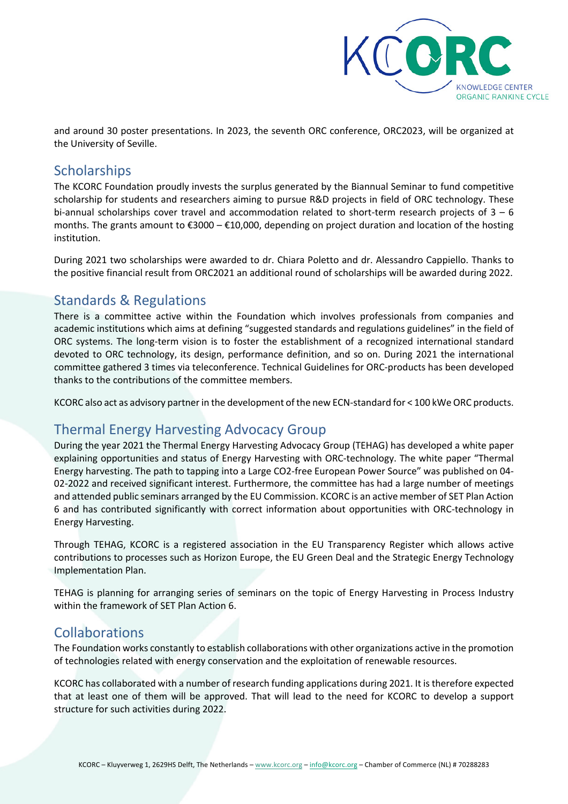

and around 30 poster presentations. In 2023, the seventh ORC conference, ORC2023, will be organized at the University of Seville.

#### **Scholarships**

The KCORC Foundation proudly invests the surplus generated by the Biannual Seminar to fund competitive scholarship for students and researchers aiming to pursue R&D projects in field of ORC technology. These bi-annual scholarships cover travel and accommodation related to short-term research projects of  $3 - 6$ months. The grants amount to €3000 – €10,000, depending on project duration and location of the hosting institution.

During 2021 two scholarships were awarded to dr. Chiara Poletto and dr. Alessandro Cappiello. Thanks to the positive financial result from ORC2021 an additional round of scholarships will be awarded during 2022.

## Standards & Regulations

There is a committee active within the Foundation which involves professionals from companies and academic institutions which aims at defining "suggested standards and regulations guidelines" in the field of ORC systems. The long-term vision is to foster the establishment of a recognized international standard devoted to ORC technology, its design, performance definition, and so on. During 2021 the international committee gathered 3 times via teleconference. Technical Guidelines for ORC-products has been developed thanks to the contributions of the committee members.

KCORC also act as advisory partner in the development of the new ECN-standard for < 100 kWe ORC products.

# Thermal Energy Harvesting Advocacy Group

During the year 2021 the Thermal Energy Harvesting Advocacy Group (TEHAG) has developed a white paper explaining opportunities and status of Energy Harvesting with ORC-technology. The white paper "Thermal Energy harvesting. The path to tapping into a Large CO2-free European Power Source" was published on 04- 02-2022 and received significant interest. Furthermore, the committee has had a large number of meetings and attended public seminars arranged by the EU Commission. KCORC is an active member of SET Plan Action 6 and has contributed significantly with correct information about opportunities with ORC-technology in Energy Harvesting.

Through TEHAG, KCORC is a registered association in the EU Transparency Register which allows active contributions to processes such as Horizon Europe, the EU Green Deal and the Strategic Energy Technology Implementation Plan.

TEHAG is planning for arranging series of seminars on the topic of Energy Harvesting in Process Industry within the framework of SET Plan Action 6.

### Collaborations

The Foundation works constantly to establish collaborations with other organizations active in the promotion of technologies related with energy conservation and the exploitation of renewable resources.

KCORC has collaborated with a number of research funding applications during 2021. It is therefore expected that at least one of them will be approved. That will lead to the need for KCORC to develop a support structure for such activities during 2022.